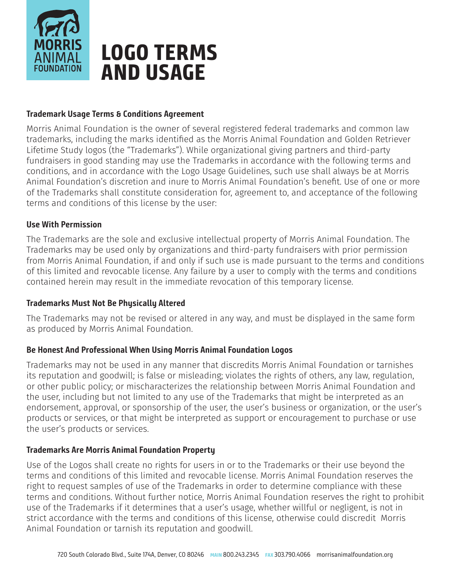

# **LOGO TERMS AND USAGE**

### **Trademark Usage Terms & Conditions Agreement**

Morris Animal Foundation is the owner of several registered federal trademarks and common law trademarks, including the marks identified as the Morris Animal Foundation and Golden Retriever Lifetime Study logos (the "Trademarks"). While organizational giving partners and third-party fundraisers in good standing may use the Trademarks in accordance with the following terms and conditions, and in accordance with the Logo Usage Guidelines, such use shall always be at Morris Animal Foundation's discretion and inure to Morris Animal Foundation's benefit. Use of one or more of the Trademarks shall constitute consideration for, agreement to, and acceptance of the following terms and conditions of this license by the user:

### **Use With Permission**

The Trademarks are the sole and exclusive intellectual property of Morris Animal Foundation. The Trademarks may be used only by organizations and third-party fundraisers with prior permission from Morris Animal Foundation, if and only if such use is made pursuant to the terms and conditions of this limited and revocable license. Any failure by a user to comply with the terms and conditions contained herein may result in the immediate revocation of this temporary license.

### **Trademarks Must Not Be Physically Altered**

The Trademarks may not be revised or altered in any way, and must be displayed in the same form as produced by Morris Animal Foundation.

### **Be Honest And Professional When Using Morris Animal Foundation Logos**

Trademarks may not be used in any manner that discredits Morris Animal Foundation or tarnishes its reputation and goodwill; is false or misleading; violates the rights of others, any law, regulation, or other public policy; or mischaracterizes the relationship between Morris Animal Foundation and the user, including but not limited to any use of the Trademarks that might be interpreted as an endorsement, approval, or sponsorship of the user, the user's business or organization, or the user's products or services, or that might be interpreted as support or encouragement to purchase or use the user's products or services.

### **Trademarks Are Morris Animal Foundation Property**

Use of the Logos shall create no rights for users in or to the Trademarks or their use beyond the terms and conditions of this limited and revocable license. Morris Animal Foundation reserves the right to request samples of use of the Trademarks in order to determine compliance with these terms and conditions. Without further notice, Morris Animal Foundation reserves the right to prohibit use of the Trademarks if it determines that a user's usage, whether willful or negligent, is not in strict accordance with the terms and conditions of this license, otherwise could discredit Morris Animal Foundation or tarnish its reputation and goodwill.